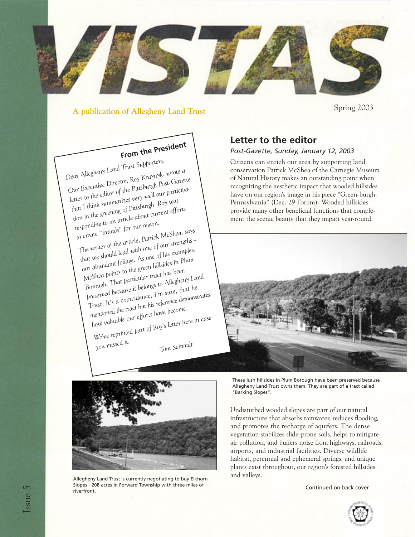

#### **A publication of Allegheny Land Trust**

Spring 2003

# **From the President**

*Dear Allegheny Land Trust Supporters, Our Executive Director, Roy Kraynyk, wrote a letter to the editor of the Pittsburgh Post-Gazette that I think summarizes very well our participation in the greening of Pittsburgh. Roy was responding to an article about current efforts to create "brands" for our region. The writer of the article, Patrick McShea, says that we should lead with one of our strengths – our abundant foliage. As one of his examples,*

*McShea points to the green hillsides in Plum Borough. That particular tract has been preserved because it belongs to Allegheny Land Trust. It's a coincidence, I'm sure, that he mentioned the tract but his reference demonstrates*

*how valuable our efforts have become. We've reprinted part of Roy's letter here in case*

*you missed it.*

*Tom Schmidt*

# **Letter to the editor**

#### *Post-Gazette, Sunday, January 12, 2003*

Citizens can enrich our area by supporting land conservation Patrick McShea of the Carnegie Museum of Natural History makes an outstanding point when recognizing the aesthetic impact that wooded hillsides have on our region's image in his piece "Green-burgh, Pennsylvania" (Dec. 29 Forum). Wooded hillsides provide many other beneficial functions that complement the scenic beauty that they impart year-round.





and valleys. Allegheny Land Trust is currently negotiating to buy Elkhorn Slopes - 208 acres in Forward Township with three miles of riverfront.

These lush hillsides in Plum Borough have been preserved because Allegheny Land Trust owns them. They are part of a tract called "Barking Slopes".

Undisturbed wooded slopes are part of our natural infrastructure that absorbs rainwater, reduces flooding, and promotes the recharge of aquifers. The dense vegetation stabilizes slide-prone soils, helps to mitigate air pollution, and buffers noise from highways, railroads, airports, and industrial facilities. Diverse wildlife habitat, perennial and ephemeral springs, and unique plants exist throughout, our region's forested hillsides

Continued on back cover

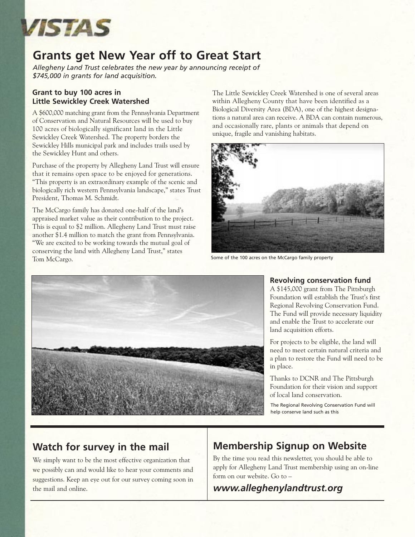

# **Grants get New Year off to Great Start**

*Allegheny Land Trust celebrates the new year by announcing receipt of \$745,000 in grants for land acquisition.*

#### **Grant to buy 100 acres in Little Sewickley Creek Watershed**

A \$600,000 matching grant from the Pennsylvania Department of Conservation and Natural Resources will be used to buy 100 acres of biologically significant land in the Little Sewickley Creek Watershed. The property borders the Sewickley Hills municipal park and includes trails used by the Sewickley Hunt and others.

Purchase of the property by Allegheny Land Trust will ensure that it remains open space to be enjoyed for generations. "This property is an extraordinary example of the scenic and biologically rich western Pennsylvania landscape," states Trust President, Thomas M. Schmidt.

The McCargo family has donated one-half of the land's appraised market value as their contribution to the project. This is equal to \$2 million. Allegheny Land Trust must raise another \$1.4 million to match the grant from Pennsylvania. "We are excited to be working towards the mutual goal of conserving the land with Allegheny Land Trust," states Tom McCargo.

The Little Sewickley Creek Watershed is one of several areas within Allegheny County that have been identified as a Biological Diversity Area (BDA), one of the highest designations a natural area can receive. A BDA can contain numerous, and occasionally rare, plants or animals that depend on unique, fragile and vanishing habitats.



Some of the 100 acres on the McCargo family property



#### **Revolving conservation fund**

A \$145,000 grant from The Pittsburgh Foundation will establish the Trust's first Regional Revolving Conservation Fund. The Fund will provide necessary liquidity and enable the Trust to accelerate our land acquisition efforts.

For projects to be eligible, the land will need to meet certain natural criteria and a plan to restore the Fund will need to be in place.

Thanks to DCNR and The Pittsburgh Foundation for their vision and support of local land conservation.

The Regional Revolving Conservation Fund will help conserve land such as this

# **Watch for survey in the mail**

We simply want to be the most effective organization that we possibly can and would like to hear your comments and suggestions. Keep an eye out for our survey coming soon in the mail and online.

# **Membership Signup on Website**

By the time you read this newsletter, you should be able to apply for Allegheny Land Trust membership using an on-line form on our website. Go to –

# *www.alleghenylandtrust.org*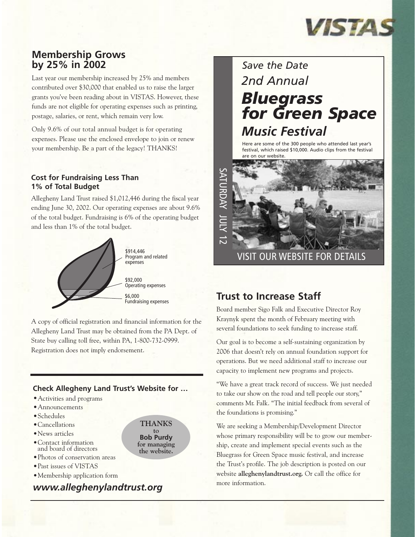

## **Membership Grows by 25% in 2002**

Last year our membership increased by 25% and members contributed over \$30,000 that enabled us to raise the larger grants you've been reading about in VISTAS. However, these funds are not eligible for operating expenses such as printing, postage, salaries, or rent, which remain very low.

Only 9.6% of our total annual budget is for operating expenses. Please use the enclosed envelope to join or renew your membership. Be a part of the legacy! THANKS!

#### **Cost for Fundraising Less Than 1% of Total Budget**

Allegheny Land Trust raised \$1,012,446 during the fiscal year ending June 30, 2002. Our operating expenses are about 9.6% of the total budget. Fundraising is 6% of the operating budget and less than 1% of the total budget.



A copy of official registration and financial information for the Allegheny Land Trust may be obtained from the PA Dept. of State buy calling toll free, within PA, 1-800-732-0999. Registration does not imply endorsement.

#### **Check Allegheny Land Trust's Website for …**

**THANKS to Bob Purdy for managing the website.**

- •Activities and programs
- •Announcements
- •Schedules
- •Cancellations
- •News articles
- •Contact information and board of directors
- •Photos of conservation areas
- •Past issues of VISTAS
- •Membership application form

# *www.alleghenylandtrust.org*

# *2nd Annual Bluegrass for Green Space Music Festival Save the Date*

Here are some of the 300 people who attended last year's festival, which raised \$10,000. Audio clips from the festival are on our website.



# **Trust to Increase Staff**

Board member Sigo Falk and Executive Director Roy Kraynyk spent the month of February meeting with several foundations to seek funding to increase staff.

Our goal is to become a self-sustaining organization by 2006 that doesn't rely on annual foundation support for operations. But we need additional staff to increase our capacity to implement new programs and projects.

"We have a great track record of success. We just needed to take our show on the road and tell people our story," comments Mr. Falk. "The initial feedback from several of the foundations is promising."

We are seeking a Membership/Development Director whose primary responsibility will be to grow our membership, create and implement special events such as the Bluegrass for Green Space music festival, and increase the Trust's profile. The job description is posted on our website **alleghenylandtrust.org.** Or call the office for more information.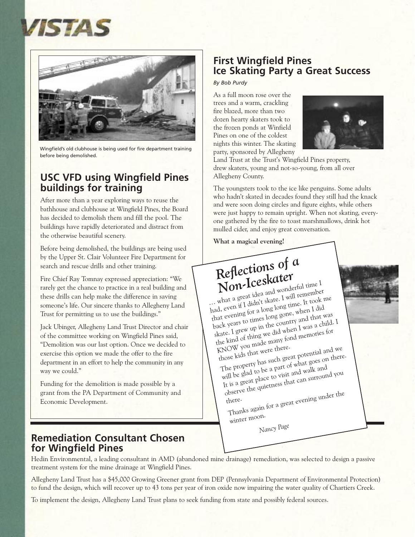



Wingfield's old clubhouse is being used for fire department training before being demolished.

## **USC VFD using Wingfield Pines buildings for training**

After more than a year exploring ways to reuse the bathhouse and clubhouse at Wingfield Pines, the Board has decided to demolish them and fill the pool. The buildings have rapidly deteriorated and distract from the otherwise beautiful scenery.

Before being demolished, the buildings are being used by the Upper St. Clair Volunteer Fire Department for search and rescue drills and other training.

Fire Chief Ray Tomnay expressed appreciation: "We rarely get the chance to practice in a real building and these drills can help make the difference in saving someone's life. Our sincere thanks to Allegheny Land Trust for permitting us to use the buildings."

Jack Ubinger, Allegheny Land Trust Director and chair of the committee working on Wingfield Pines said, "Demolition was our last option. Once we decided to exercise this option we made the offer to the fire department in an effort to help the community in any way we could."

Funding for the demolition is made possible by a grant from the PA Department of Community and Economic Development.

### **Remediation Consultant Chosen for Wingfield Pines**

# **First Wingfield Pines Ice Skating Party a Great Success**

*By Bob Purdy*

As a full moon rose over the trees and a warm, crackling fire blazed, more than two dozen hearty skaters took to the frozen ponds at Winfield Pines on one of the coldest nights this winter. The skating party, sponsored by Allegheny



Land Trust at the Trust's Wingfield Pines property, drew skaters, young and not-so-young, from all over Allegheny County.

The youngsters took to the ice like penguins. Some adults who hadn't skated in decades found they still had the knack and were soon doing circles and figure eights, while others were just happy to remain upright. When not skating, everyone gathered by the fire to toast marshmallows, drink hot mulled cider, and enjoy great conversation.

**What a magical evening!**

# *Reflections of a*

*Non-Iceskater* … what a great idea and wonderful time I had, even if I didn't skate. I will remember that evening for a long long time. It took me back years to times long gone, when I did skate. I grew up in the country and that was the kind of thing we did when I was a child. I<br>KNOW you made many fond memories for<br>those kids that were there. KNOW you made many fond memories for

KNOW you may<br>those kids that were there.<br>The property has such great potential and we<br>The property has gaint of what goes on there will be glad to be a part of what goes on there. It is a great place to visit and walk and observe the quietness that can surround you

there. bserve comes<br>here.<br>Thanks again for a great evening under the<br>

winter moon.

*Nancy Page*

Hedin Environmental, a leading consultant in AMD (abandoned mine drainage) remediation, was selected to design a passive treatment system for the mine drainage at Wingfield Pines.

Allegheny Land Trust has a \$45,000 Growing Greener grant from DEP (Pennsylvania Department of Environmental Protection) to fund the design, which will recover up to 43 tons per year of iron oxide now impairing the water quality of Chartiers Creek.

To implement the design, Allegheny Land Trust plans to seek funding from state and possibly federal sources.